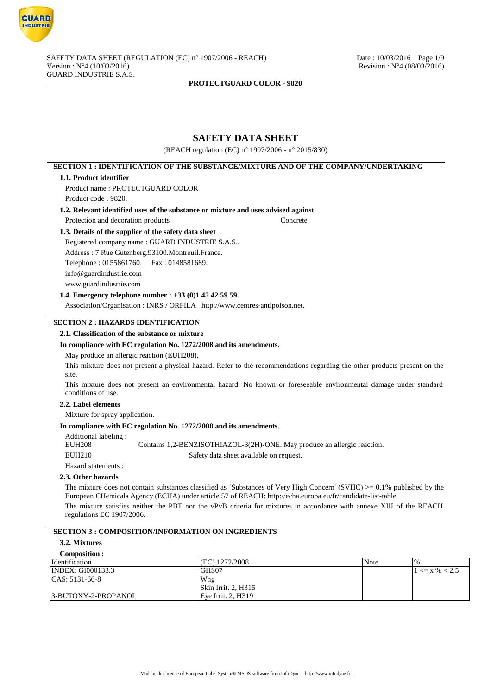

# **SAFETY DATA SHEET**

(REACH regulation (EC) n° 1907/2006 - n° 2015/830)

# **SECTION 1 : IDENTIFICATION OF THE SUBSTANCE/MIXTURE AND OF THE COMPANY/UNDERTAKING**

#### **1.1. Product identifier**

Product name : PROTECTGUARD COLOR Product code : 9820.

- **1.2. Relevant identified uses of the substance or mixture and uses advised against**
	- Protection and decoration products Concrete

# **1.3. Details of the supplier of the safety data sheet**

Registered company name : GUARD INDUSTRIE S.A.S.. Address : 7 Rue Gutenberg.93100.Montreuil.France. Telephone : 0155861760. Fax : 0148581689. info@guardindustrie.com www.guardindustrie.com

# **1.4. Emergency telephone number : +33 (0)1 45 42 59 59.**

Association/Organisation : INRS / ORFILA http://www.centres-antipoison.net.

# **SECTION 2 : HAZARDS IDENTIFICATION**

# **2.1. Classification of the substance or mixture**

#### **In compliance with EC regulation No. 1272/2008 and its amendments.**

May produce an allergic reaction (EUH208).

This mixture does not present a physical hazard. Refer to the recommendations regarding the other products present on the site.

This mixture does not present an environmental hazard. No known or foreseeable environmental damage under standard conditions of use.

# **2.2. Label elements**

Mixture for spray application.

# **In compliance with EC regulation No. 1272/2008 and its amendments.**

| Additional labeling: |                                                                          |
|----------------------|--------------------------------------------------------------------------|
| EUH208               | Contains 1,2-BENZISOTHIAZOL-3(2H)-ONE. May produce an allergic reaction. |
| EUH210               | Safety data sheet available on request.                                  |

Hazard statements :

# **2.3. Other hazards**

The mixture does not contain substances classified as 'Substances of Very High Concern' (SVHC)  $> = 0.1\%$  published by the European CHemicals Agency (ECHA) under article 57 of REACH: http://echa.europa.eu/fr/candidate-list-table

The mixture satisfies neither the PBT nor the vPvB criteria for mixtures in accordance with annexe XIII of the REACH regulations EC 1907/2006.

# **SECTION 3 : COMPOSITION/INFORMATION ON INGREDIENTS**

#### **3.2. Mixtures**

| Composition :            |                             |      |                       |
|--------------------------|-----------------------------|------|-----------------------|
| <i>dentification</i>     | (EC) 1272/2008              | Note |                       |
| <b>INDEX: GI000133.3</b> | GHS07                       |      | $1 \le x \, \% < 2.5$ |
| $ CAS: 5131-66-8$        | Wng                         |      |                       |
|                          | $\vert$ Skin Irrit. 2, H315 |      |                       |
| 3-BUTOXY-2-PROPANOL      | Eve Irrit. 2. H319          |      |                       |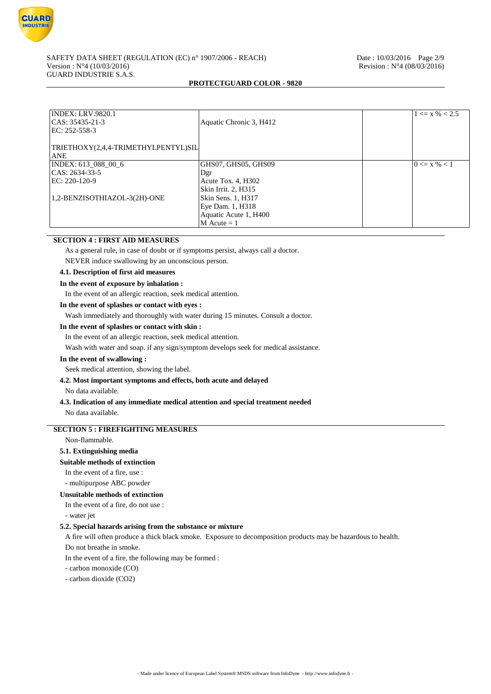

#### SAFETY DATA SHEET (REGULATION (EC) n° 1907/2006 - REACH) Date : 10/03/2016 Page 2/9 Version : N°4 (10/03/2016) Revision : N°4 (08/03/2016) GUARD INDUSTRIE S.A.S.

# **PROTECTGUARD COLOR - 9820**

| <b>INDEX: LRV.9820.1</b><br>CAS: 35435-21-3<br>EC: 252-558-3 | Aquatic Chronic 3, H412 | $1 \le x \, \% < 2.5$ |
|--------------------------------------------------------------|-------------------------|-----------------------|
| TRIETHOXY(2,4,4-TRIMETHYLPENTYL)SIL<br><b>ANE</b>            |                         |                       |
| INDEX: 613 088 00 6                                          | GHS07, GHS05, GHS09     | $0 \le x \% < 1$      |
| CAS: 2634-33-5                                               | Dgr                     |                       |
| EC: 220-120-9                                                | Acute Tox. 4, H302      |                       |
|                                                              | Skin Irrit. 2, H315     |                       |
| 1,2-BENZISOTHIAZOL-3(2H)-ONE                                 | Skin Sens. 1, H317      |                       |
|                                                              | Eye Dam. 1, H318        |                       |
|                                                              | Aquatic Acute 1, H400   |                       |
|                                                              | $M$ Acute = 1           |                       |

# **SECTION 4 : FIRST AID MEASURES**

As a general rule, in case of doubt or if symptoms persist, always call a doctor.

NEVER induce swallowing by an unconscious person.

# **4.1. Description of first aid measures**

# **In the event of exposure by inhalation :**

In the event of an allergic reaction, seek medical attention.

# **In the event of splashes or contact with eyes :**

Wash immediately and thoroughly with water during 15 minutes. Consult a doctor.

# **In the event of splashes or contact with skin :**

In the event of an allergic reaction, seek medical attention.

Wash with water and soap. if any sign/symptom develops seek for medical assistance.

# **In the event of swallowing :**

Seek medical attention, showing the label.

# **4.2. Most important symptoms and effects, both acute and delayed**

No data available.

# **4.3. Indication of any immediate medical attention and special treatment needed**

No data available.

# **SECTION 5 : FIREFIGHTING MEASURES**

# Non-flammable.

# **5.1. Extinguishing media**

#### **Suitable methods of extinction**

In the event of a fire, use :

- multipurpose ABC powder

#### **Unsuitable methods of extinction**

In the event of a fire, do not use :

- water jet

## **5.2. Special hazards arising from the substance or mixture**

A fire will often produce a thick black smoke. Exposure to decomposition products may be hazardous to health.

Do not breathe in smoke.

In the event of a fire, the following may be formed :

- carbon monoxide (CO)

- carbon dioxide (CO2)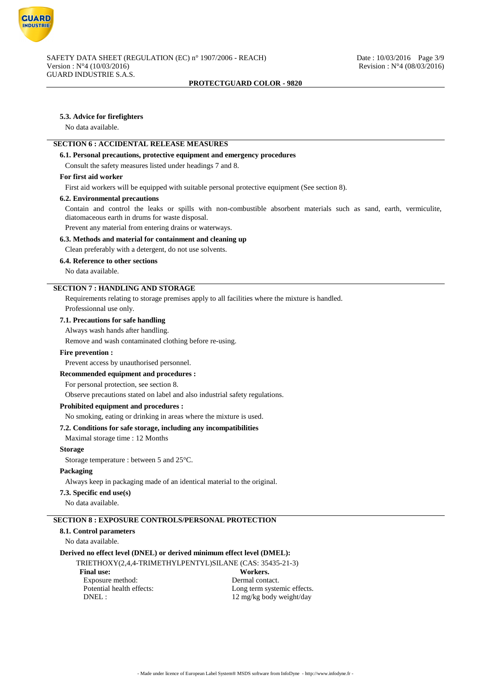

# **5.3. Advice for firefighters**

No data available.

# **SECTION 6 : ACCIDENTAL RELEASE MEASURES**

#### **6.1. Personal precautions, protective equipment and emergency procedures**

Consult the safety measures listed under headings 7 and 8.

# **For first aid worker**

First aid workers will be equipped with suitable personal protective equipment (See section 8).

#### **6.2. Environmental precautions**

Contain and control the leaks or spills with non-combustible absorbent materials such as sand, earth, vermiculite, diatomaceous earth in drums for waste disposal.

Prevent any material from entering drains or waterways.

# **6.3. Methods and material for containment and cleaning up**

Clean preferably with a detergent, do not use solvents.

#### **6.4. Reference to other sections**

No data available.

# **SECTION 7 : HANDLING AND STORAGE**

Requirements relating to storage premises apply to all facilities where the mixture is handled. Professionnal use only.

#### **7.1. Precautions for safe handling**

Always wash hands after handling.

Remove and wash contaminated clothing before re-using.

# **Fire prevention :**

Prevent access by unauthorised personnel.

**Recommended equipment and procedures :**

#### For personal protection, see section 8.

Observe precautions stated on label and also industrial safety regulations.

#### **Prohibited equipment and procedures :**

No smoking, eating or drinking in areas where the mixture is used.

#### **7.2. Conditions for safe storage, including any incompatibilities**

Maximal storage time : 12 Months

#### **Storage**

Storage temperature : between 5 and 25°C.

# **Packaging**

Always keep in packaging made of an identical material to the original.

#### **7.3. Specific end use(s)**

No data available.

# **SECTION 8 : EXPOSURE CONTROLS/PERSONAL PROTECTION**

# **8.1. Control parameters**

No data available.

# **Derived no effect level (DNEL) or derived minimum effect level (DMEL):**

TRIETHOXY(2,4,4-TRIMETHYLPENTYL)SILANE (CAS: 35435-21-3)<br>Final use: Workers. Final use: Workers.<br>
Exposure method: Series and Muslim Dermal contact.<br>
Dermal contact. Exposure method:<br>Potential health effects: Long term systemic effects. DNEL : 12 mg/kg body weight/day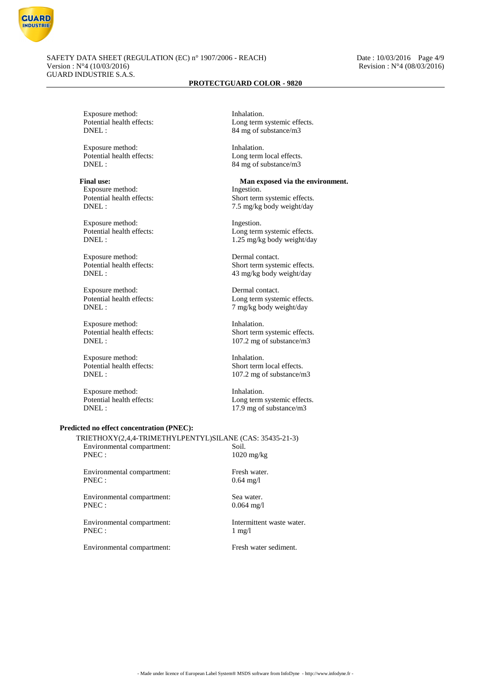

Exposure method: Inhalation.<br>
Potential health effects:  $\qquad \qquad$  Long term

Exposure method: Inhalation.<br>
Potential health effects: Long term<br>
Long term

Exposure method: Ingestion.<br>
Potential health effects: Short term

Exposure method: Ingestion.<br>
Potential health effects: <br>
Long term

Exposure method: Dermal contact.<br>
Potential health effects: Short term syste

Exposure method: Dermal contact.

Exposure method: Inhalation.

Exposure method: Inhalation.<br>
Potential health effects: Short term<br>
Short term

Exposure method: Inhalation.

#### **Predicted no effect concentration (PNEC):**

TRIETHOXY(2,4,4-TRIMETHYLPENTYL)SILANE (CAS: 35435-21-3) Environmental compartment: Soil.<br>PNEC : 1020 1020 mg/kg

Environmental compartment: Fresh water. PNEC : 0.64 mg/l

Environmental compartment: Sea water. PNEC : 0.064 mg/l

Environmental compartment: Intermittent waste water. PNEC : 1 mg/l

Environmental compartment: Fresh water sediment.

Potential health effects:<br>
DNEL:<br>  $84 \text{ ms of substance/m3}$ 84 mg of substance/m3

Long term local effects. DNEL : 84 mg of substance/m3

# Final use: Man exposed via the environment.

Potential health effects:<br>
DNEL:<br>  $7.5 \text{ mg/kg}$  hody weight/day 7.5 mg/kg body weight/day

Potential health effects:<br>
DNEL:<br>  $1.25 \text{ m/s}$  hody weight/day 1.25 mg/kg body weight/day

Short term systemic effects. DNEL : 43 mg/kg body weight/day

Potential health effects:<br>
DNEL:<br>  $7 \text{ mg/kg body weight/day}$ 7 mg/kg body weight/day

Potential health effects:<br>
DNEL:<br>
107.2 mg of substance/m3 107.2 mg of substance/m3

Potential health effects:<br>
DNEL:<br>
107.2 mg of substance/n<br>
107.2 mg of substance/n 107.2 mg of substance/m3

Potential health effects:<br>
DNEL:<br>
17.9 mg of substance/m3  $17.9$  mg of substance/m3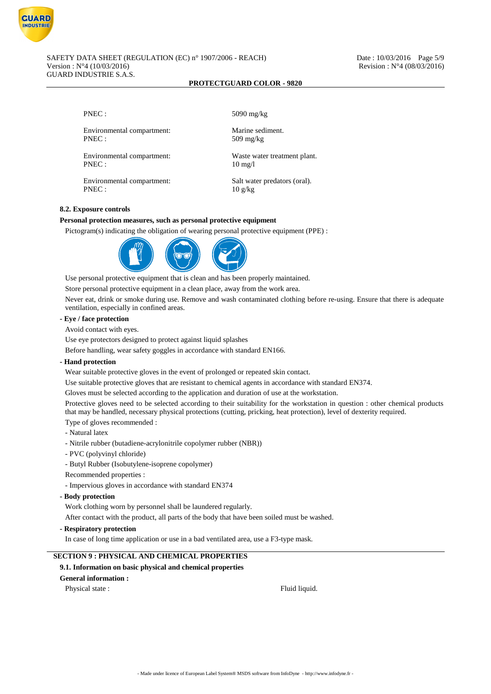

Environmental compartment: Marine sediment.<br>PNEC: 509 mg/kg

Environmental compartment: Waste water treatment plant. PNEC : 10 mg/l

Environmental compartment: Salt water predators (oral). PNEC : 10 g/kg

PNEC : 5090 mg/kg

 $509$  mg/kg

# **8.2. Exposure controls**

# **Personal protection measures, such as personal protective equipment**

Pictogram(s) indicating the obligation of wearing personal protective equipment (PPE) :



Use personal protective equipment that is clean and has been properly maintained.

Store personal protective equipment in a clean place, away from the work area.

Never eat, drink or smoke during use. Remove and wash contaminated clothing before re-using. Ensure that there is adequate ventilation, especially in confined areas.

# **- Eye / face protection**

Avoid contact with eyes.

Use eye protectors designed to protect against liquid splashes

Before handling, wear safety goggles in accordance with standard EN166.

# **- Hand protection**

Wear suitable protective gloves in the event of prolonged or repeated skin contact.

Use suitable protective gloves that are resistant to chemical agents in accordance with standard EN374.

Gloves must be selected according to the application and duration of use at the workstation.

Protective gloves need to be selected according to their suitability for the workstation in question : other chemical products that may be handled, necessary physical protections (cutting, pricking, heat protection), level of dexterity required.

Type of gloves recommended :

- Natural latex
- Nitrile rubber (butadiene-acrylonitrile copolymer rubber (NBR))
- PVC (polyvinyl chloride)
- Butyl Rubber (Isobutylene-isoprene copolymer)
- Recommended properties :
- Impervious gloves in accordance with standard EN374
- **Body protection**

Work clothing worn by personnel shall be laundered regularly.

After contact with the product, all parts of the body that have been soiled must be washed.

**- Respiratory protection**

In case of long time application or use in a bad ventilated area, use a F3-type mask.

# **SECTION 9 : PHYSICAL AND CHEMICAL PROPERTIES**

# **9.1. Information on basic physical and chemical properties**

**General information :**

Physical state : Fluid liquid.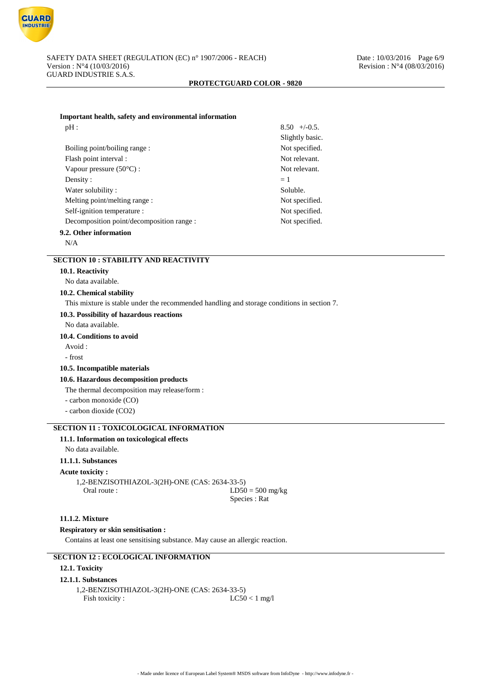

|  |  | Important health, safety and environmental information |  |
|--|--|--------------------------------------------------------|--|
|  |  |                                                        |  |

| pH:                                       | $8.50 + (-0.5)$ |
|-------------------------------------------|-----------------|
|                                           | Slightly basic. |
| Boiling point/boiling range:              | Not specified.  |
| Flash point interval :                    | Not relevant.   |
| Vapour pressure $(50^{\circ}C)$ :         | Not relevant.   |
| Density:                                  | $=1$            |
| Water solubility:                         | Soluble.        |
| Melting point/melting range :             | Not specified.  |
| Self-ignition temperature :               | Not specified.  |
| Decomposition point/decomposition range : | Not specified.  |
| 9.2. Other information                    |                 |

N/A

# **SECTION 10 : STABILITY AND REACTIVITY**

#### **10.1. Reactivity**

No data available.

#### **10.2. Chemical stability**

This mixture is stable under the recommended handling and storage conditions in section 7.

**10.3. Possibility of hazardous reactions**

No data available.

#### **10.4. Conditions to avoid**

Avoid :

- frost

#### **10.5. Incompatible materials**

**10.6. Hazardous decomposition products**

The thermal decomposition may release/form :

- carbon monoxide (CO)

- carbon dioxide (CO2)

# **SECTION 11 : TOXICOLOGICAL INFORMATION**

# **11.1. Information on toxicological effects**

No data available.

# **11.1.1. Substances**

#### **Acute toxicity :**

1,2-BENZISOTHIAZOL-3(2H)-ONE (CAS: 2634-33-5)<br>Oral route : LD50  $LD50 = 500$  mg/kg Species : Rat

# **11.1.2. Mixture**

**Respiratory or skin sensitisation :**

Contains at least one sensitising substance. May cause an allergic reaction.

# **SECTION 12 : ECOLOGICAL INFORMATION**

#### **12.1. Toxicity**

#### **12.1.1. Substances**

1,2-BENZISOTHIAZOL-3(2H)-ONE (CAS: 2634-33-5) Fish toxicity : LC50 < 1 mg/l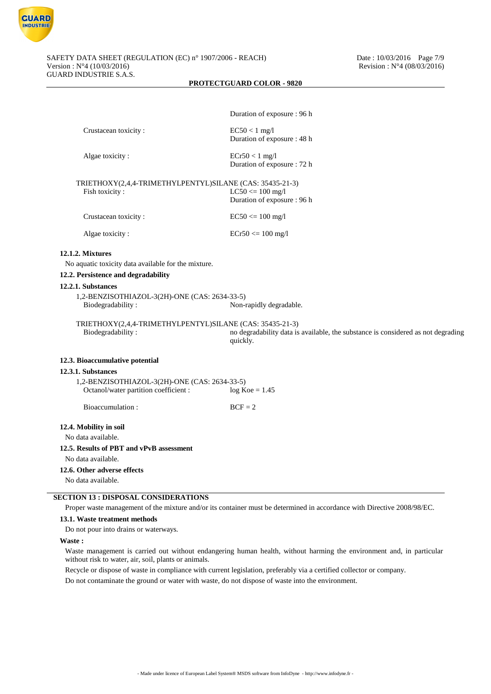

|                                                                               | Duration of exposure : 96 h                                                                  |
|-------------------------------------------------------------------------------|----------------------------------------------------------------------------------------------|
| Crustacean toxicity:                                                          | $EC50 < 1$ mg/l                                                                              |
|                                                                               | Duration of exposure : 48 h                                                                  |
| Algae toxicity:                                                               | $ECr50 < 1$ mg/l                                                                             |
|                                                                               | Duration of exposure : 72 h                                                                  |
| TRIETHOXY(2,4,4-TRIMETHYLPENTYL)SILANE (CAS: 35435-21-3)                      |                                                                                              |
| Fish toxicity:                                                                | $LC50 \le 100$ mg/l<br>Duration of exposure : 96 h                                           |
|                                                                               |                                                                                              |
| Crustacean toxicity:                                                          | $EC50 \le 100$ mg/l                                                                          |
| Algae toxicity:                                                               | $ECr50 \le 100$ mg/l                                                                         |
| 12.1.2. Mixtures                                                              |                                                                                              |
| No aquatic toxicity data available for the mixture.                           |                                                                                              |
| 12.2. Persistence and degradability                                           |                                                                                              |
| 12.2.1. Substances                                                            |                                                                                              |
| 1,2-BENZISOTHIAZOL-3(2H)-ONE (CAS: 2634-33-5)<br>Biodegradability:            | Non-rapidly degradable.                                                                      |
| TRIETHOXY(2,4,4-TRIMETHYLPENTYL)SILANE (CAS: 35435-21-3)<br>Biodegradability: | no degradability data is available, the substance is considered as not degrading<br>quickly. |
| 12.3. Bioaccumulative potential                                               |                                                                                              |
| 12.3.1. Substances                                                            |                                                                                              |
| 1,2-BENZISOTHIAZOL-3(2H)-ONE (CAS: 2634-33-5)                                 |                                                                                              |
| Octanol/water partition coefficient :                                         | $log Koe = 1.45$                                                                             |
| Bioaccumulation:                                                              | $BCF = 2$                                                                                    |
| 12.4. Mobility in soil                                                        |                                                                                              |
| No data available.                                                            |                                                                                              |
| 12.5. Results of PBT and vPvB assessment                                      |                                                                                              |
| No data available.                                                            |                                                                                              |
| 12.6. Other adverse effects                                                   |                                                                                              |
| No data available.                                                            |                                                                                              |
|                                                                               |                                                                                              |

# **SECTION 13 : DISPOSAL CONSIDERATIONS**

Proper waste management of the mixture and/or its container must be determined in accordance with Directive 2008/98/EC.

# **13.1. Waste treatment methods**

Do not pour into drains or waterways.

#### **Waste :**

Waste management is carried out without endangering human health, without harming the environment and, in particular without risk to water, air, soil, plants or animals.

Recycle or dispose of waste in compliance with current legislation, preferably via a certified collector or company.

Do not contaminate the ground or water with waste, do not dispose of waste into the environment.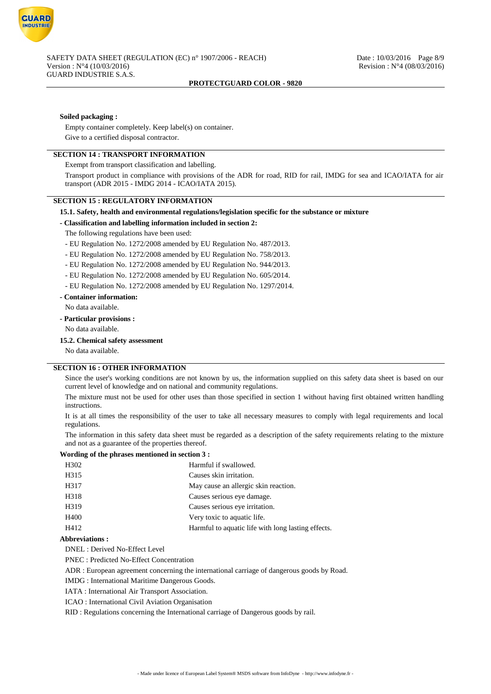

#### **Soiled packaging :**

Empty container completely. Keep label(s) on container. Give to a certified disposal contractor.

# **SECTION 14 : TRANSPORT INFORMATION**

Exempt from transport classification and labelling.

Transport product in compliance with provisions of the ADR for road, RID for rail, IMDG for sea and ICAO/IATA for air transport (ADR 2015 - IMDG 2014 - ICAO/IATA 2015).

#### **SECTION 15 : REGULATORY INFORMATION**

# **15.1. Safety, health and environmental regulations/legislation specific for the substance or mixture**

#### **- Classification and labelling information included in section 2:**

The following regulations have been used:

- EU Regulation No. 1272/2008 amended by EU Regulation No. 487/2013.

- EU Regulation No. 1272/2008 amended by EU Regulation No. 758/2013.
- EU Regulation No. 1272/2008 amended by EU Regulation No. 944/2013.
- EU Regulation No. 1272/2008 amended by EU Regulation No. 605/2014.
- EU Regulation No. 1272/2008 amended by EU Regulation No. 1297/2014.

#### **- Container information:**

No data available.

- **Particular provisions :**
- No data available.

#### **15.2. Chemical safety assessment**

No data available.

# **SECTION 16 : OTHER INFORMATION**

Since the user's working conditions are not known by us, the information supplied on this safety data sheet is based on our current level of knowledge and on national and community regulations.

The mixture must not be used for other uses than those specified in section 1 without having first obtained written handling instructions.

It is at all times the responsibility of the user to take all necessary measures to comply with legal requirements and local regulations.

The information in this safety data sheet must be regarded as a description of the safety requirements relating to the mixture and not as a guarantee of the properties thereof.

#### **Wording of the phrases mentioned in section 3 :**

| H <sub>3</sub> 02 | Harmful if swallowed.                              |
|-------------------|----------------------------------------------------|
| H315              | Causes skin irritation.                            |
| H317              | May cause an allergic skin reaction.               |
| H318              | Causes serious eye damage.                         |
| H319              | Causes serious eye irritation.                     |
| H400              | Very toxic to aquatic life.                        |
| H412              | Harmful to aquatic life with long lasting effects. |
|                   |                                                    |

#### **Abbreviations :**

DNEL : Derived No-Effect Level

PNEC : Predicted No-Effect Concentration

ADR : European agreement concerning the international carriage of dangerous goods by Road.

IMDG : International Maritime Dangerous Goods.

IATA : International Air Transport Association.

ICAO : International Civil Aviation Organisation

RID : Regulations concerning the International carriage of Dangerous goods by rail.